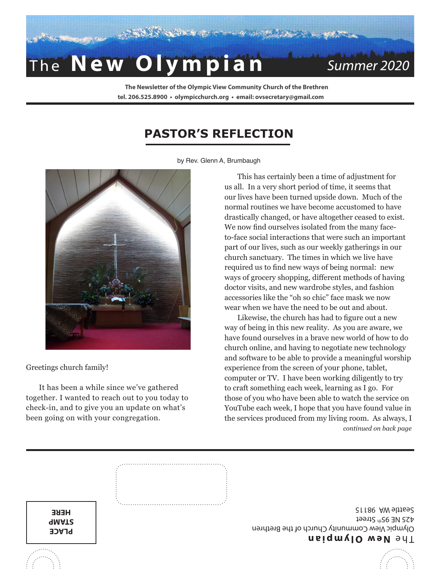

**The Newsletter of the Olympic View Community Church of the Brethren**

## **tel. 206.525.8900 • olympicchurch.org • email: ovsecretary@gmail.com**

## **PASTOR'S REFLECTION**



Greetings church family!

It has been a while since we've gathered together. I wanted to reach out to you today to check-in, and to give you an update on what's been going on with your congregation.

This has certainly been a time of adjustment for us all. In a very short period of time, it seems that our lives have been turned upside down. Much of the normal routines we have become accustomed to have drastically changed, or have altogether ceased to exist. We now find ourselves isolated from the many faceto-face social interactions that were such an important part of our lives, such as our weekly gatherings in our church sanctuary. The times in which we live have required us to find new ways of being normal: new ways of grocery shopping, different methods of having doctor visits, and new wardrobe styles, and fashion accessories like the "oh so chic" face mask we now wear when we have the need to be out and about.

Likewise, the church has had to figure out a new way of being in this new reality. As you are aware, we have found ourselves in a brave new world of how to do church online, and having to negotiate new technology and software to be able to provide a meaningful worship experience from the screen of your phone, tablet, computer or TV. I have been working diligently to try to craft something each week, learning as I go. For those of you who have been able to watch the service on YouTube each week, I hope that you have found value in the services produced from my living room. As always, I *continued on back page*